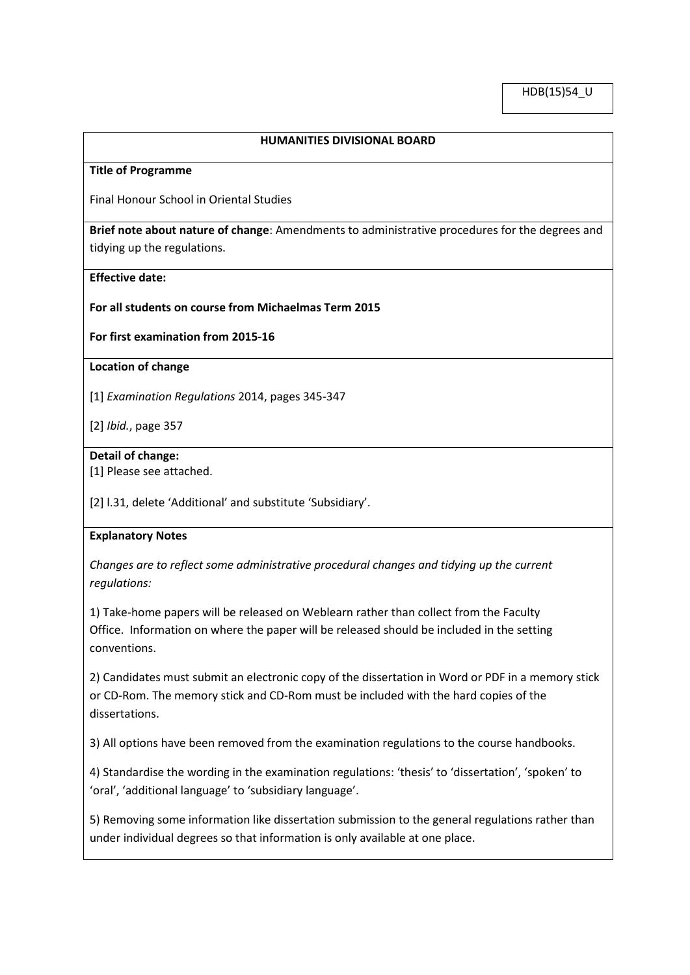# **HUMANITIES DIVISIONAL BOARD**

#### **Title of Programme**

Final Honour School in Oriental Studies

**Brief note about nature of change**: Amendments to administrative procedures for the degrees and tidying up the regulations.

#### **Effective date:**

## **For all students on course from Michaelmas Term 2015**

## **For first examination from 2015-16**

## **Location of change**

[1] *Examination Regulations* 2014, pages 345-347

[2] *Ibid.*, page 357

## **Detail of change:**

[1] Please see attached.

[2] l.31, delete 'Additional' and substitute 'Subsidiary'.

# **Explanatory Notes**

*Changes are to reflect some administrative procedural changes and tidying up the current regulations:*

1) Take-home papers will be released on Weblearn rather than collect from the Faculty Office. Information on where the paper will be released should be included in the setting conventions.

2) Candidates must submit an electronic copy of the dissertation in Word or PDF in a memory stick or CD-Rom. The memory stick and CD-Rom must be included with the hard copies of the dissertations.

3) All options have been removed from the examination regulations to the course handbooks.

4) Standardise the wording in the examination regulations: 'thesis' to 'dissertation', 'spoken' to 'oral', 'additional language' to 'subsidiary language'.

5) Removing some information like dissertation submission to the general regulations rather than under individual degrees so that information is only available at one place.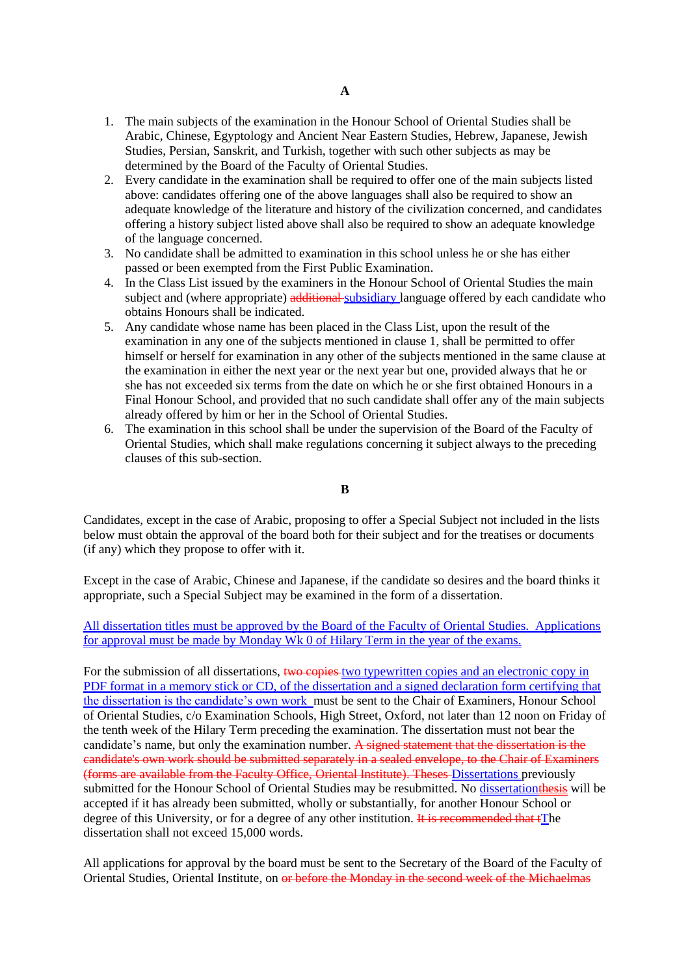- 1. The main subjects of the examination in the Honour School of Oriental Studies shall be Arabic, Chinese, Egyptology and Ancient Near Eastern Studies, Hebrew, Japanese, Jewish Studies, Persian, Sanskrit, and Turkish, together with such other subjects as may be determined by the Board of the Faculty of Oriental Studies.
- 2. Every candidate in the examination shall be required to offer one of the main subjects listed above: candidates offering one of the above languages shall also be required to show an adequate knowledge of the literature and history of the civilization concerned, and candidates offering a history subject listed above shall also be required to show an adequate knowledge of the language concerned.
- 3. No candidate shall be admitted to examination in this school unless he or she has either passed or been exempted from the First Public Examination.
- 4. In the Class List issued by the examiners in the Honour School of Oriental Studies the main subject and (where appropriate) additional subsidiary language offered by each candidate who obtains Honours shall be indicated.
- 5. Any candidate whose name has been placed in the Class List, upon the result of the examination in any one of the subjects mentioned in clause 1, shall be permitted to offer himself or herself for examination in any other of the subjects mentioned in the same clause at the examination in either the next year or the next year but one, provided always that he or she has not exceeded six terms from the date on which he or she first obtained Honours in a Final Honour School, and provided that no such candidate shall offer any of the main subjects already offered by him or her in the School of Oriental Studies.
- 6. The examination in this school shall be under the supervision of the Board of the Faculty of Oriental Studies, which shall make regulations concerning it subject always to the preceding clauses of this sub-section.

## **B**

Candidates, except in the case of Arabic, proposing to offer a Special Subject not included in the lists below must obtain the approval of the board both for their subject and for the treatises or documents (if any) which they propose to offer with it.

Except in the case of Arabic, Chinese and Japanese, if the candidate so desires and the board thinks it appropriate, such a Special Subject may be examined in the form of a dissertation.

All dissertation titles must be approved by the Board of the Faculty of Oriental Studies. Applications for approval must be made by Monday Wk 0 of Hilary Term in the year of the exams.

For the submission of all dissertations, two copies two typewritten copies and an electronic copy in PDF format in a memory stick or CD, of the dissertation and a signed declaration form certifying that the dissertation is the candidate's own work must be sent to the Chair of Examiners, Honour School of Oriental Studies, c/o Examination Schools, High Street, Oxford, not later than 12 noon on Friday of the tenth week of the Hilary Term preceding the examination. The dissertation must not bear the candidate's name, but only the examination number. A signed statement that the dissertation is the candidate's own work should be submitted separately in a sealed envelope, to the Chair of Examiners (forms are available from the Faculty Office, Oriental Institute). Theses Dissertations previously submitted for the Honour School of Oriental Studies may be resubmitted. No dissertationthesis will be accepted if it has already been submitted, wholly or substantially, for another Honour School or degree of this University, or for a degree of any other institution. It is recommended that tThe dissertation shall not exceed 15,000 words.

All applications for approval by the board must be sent to the Secretary of the Board of the Faculty of Oriental Studies, Oriental Institute, on or before the Monday in the second week of the Michaelmas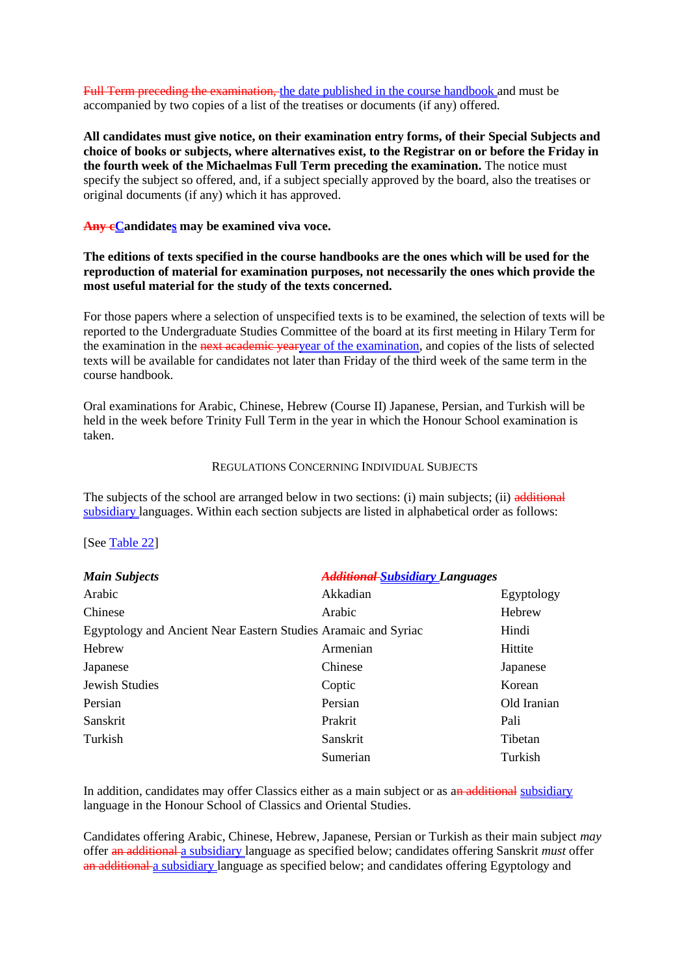Full Term preceding the examination, the date published in the course handbook and must be accompanied by two copies of a list of the treatises or documents (if any) offered.

**All candidates must give notice, on their examination entry forms, of their Special Subjects and choice of books or subjects, where alternatives exist, to the Registrar on or before the Friday in the fourth week of the Michaelmas Full Term preceding the examination.** The notice must specify the subject so offered, and, if a subject specially approved by the board, also the treatises or original documents (if any) which it has approved.

### **Any cCandidates may be examined viva voce.**

# **The editions of texts specified in the course handbooks are the ones which will be used for the reproduction of material for examination purposes, not necessarily the ones which provide the most useful material for the study of the texts concerned.**

For those papers where a selection of unspecified texts is to be examined, the selection of texts will be reported to the Undergraduate Studies Committee of the board at its first meeting in Hilary Term for the examination in the next academic yearyear of the examination, and copies of the lists of selected texts will be available for candidates not later than Friday of the third week of the same term in the course handbook.

Oral examinations for Arabic, Chinese, Hebrew (Course II) Japanese, Persian, and Turkish will be held in the week before Trinity Full Term in the year in which the Honour School examination is taken.

## REGULATIONS CONCERNING INDIVIDUAL SUBJECTS

The subjects of the school are arranged below in two sections: (i) main subjects; (ii) additional subsidiary languages. Within each section subjects are listed in alphabetical order as follows:

#### [See [Table 22\]](http://www.admin.ox.ac.uk/examregs/11-30ao_S_R_H_S_OF_ORIENTAL_STUDIES.shtml#univ-9780199202669-tableGroup-23)

| <b>Main Subjects</b>                                           | <b>Additional Subsidiary Languages</b> |             |
|----------------------------------------------------------------|----------------------------------------|-------------|
| Arabic                                                         | Akkadian                               | Egyptology  |
| Chinese                                                        | Arabic                                 | Hebrew      |
| Egyptology and Ancient Near Eastern Studies Aramaic and Syriac |                                        | Hindi       |
| Hebrew                                                         | Armenian                               | Hittite     |
| Japanese                                                       | Chinese                                | Japanese    |
| <b>Jewish Studies</b>                                          | Coptic                                 | Korean      |
| Persian                                                        | Persian                                | Old Iranian |
| Sanskrit                                                       | Prakrit                                | Pali        |
| Turkish                                                        | Sanskrit                               | Tibetan     |
|                                                                | Sumerian                               | Turkish     |

In addition, candidates may offer Classics either as a main subject or as an additional subsidiary language in the Honour School of Classics and Oriental Studies.

Candidates offering Arabic, Chinese, Hebrew, Japanese, Persian or Turkish as their main subject *may* offer an additional a subsidiary language as specified below; candidates offering Sanskrit *must* offer an additional a subsidiary language as specified below; and candidates offering Egyptology and